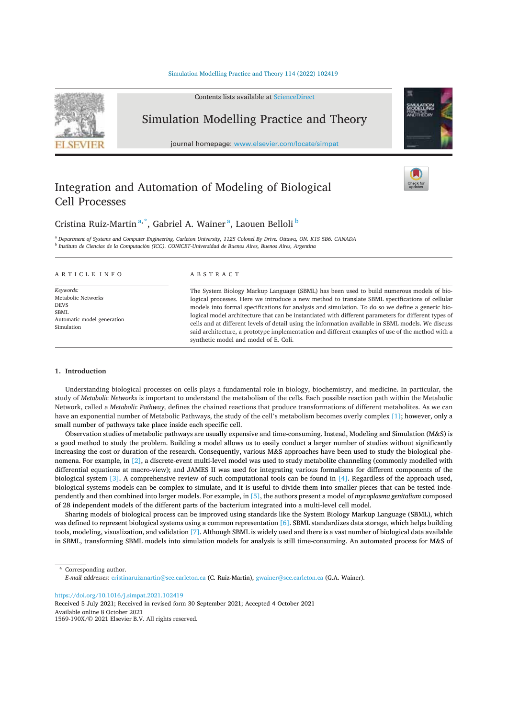# Simulation Modelling Practice and Theory 114 (2022) 102419



# Integration and Automation of Modeling of Biological Cell Processes



# Cristina Ruiz-Martin<sup>a,\*</sup>, Gabriel A. Wainer<sup>a</sup>, Laouen Belloli<sup>b</sup>

<sup>a</sup> Department of Systems and Computer Engineering, Carleton University, 1125 Colonel By Drive. Ottawa, ON. K1S 5B6. CANADA <sup>b</sup> Instituto de Ciencias de la Computación (ICC). CONICET-Universidad de Buenos Aires, Buenos Aires, Argentina

ARTICLE INFO

Keywords: Metabolic Networks **DEVS SBMI** Automatic model generation Simulation

# A B S T R A C T

The System Biology Markup Language (SBML) has been used to build numerous models of biological processes. Here we introduce a new method to translate SBML specifications of cellular models into formal specifications for analysis and simulation. To do so we define a generic biological model architecture that can be instantiated with different parameters for different types of cells and at different levels of detail using the information available in SBML models. We discuss said architecture, a prototype implementation and different examples of use of the method with a synthetic model and model of E. Coli.

# 1. Introduction

Understanding biological processes on cells plays a fundamental role in biology, biochemistry, and medicine. In particular, the study of Metabolic Networks is important to understand the metabolism of the cells. Each possible reaction path within the Metabolic Network, called a *Metabolic Pathway*, defines the chained reactions that produce transformations of different metabolites. As we can have an exponential number of Metabolic Pathways, the study of the cell's metabolism becomes overly complex [1]; however, only a small number of pathways take place inside each specific cell.

Observation studies of metabolic pathways are usually expensive and time-consuming. Instead, Modeling and Simulation (M&S) is a good method to study the problem. Building a model allows us to easily conduct a larger number of studies without significantly increasing the cost or duration of the research. Consequently, various M&S approaches have been used to study the biological phenomena. For example, in [2], a discrete-event multi-level model was used to study metabolite channeling (commonly modelled with differential equations at macro-view); and JAMES II was used for integrating various formalisms for different components of the biological system [3]. A comprehensive review of such computational tools can be found in [4]. Regardless of the approach used, biological systems models can be complex to simulate, and it is useful to divide them into smaller pieces that can be tested independently and then combined into larger models. For example, in [5], the authors present a model of mycoplasma genitalium composed of 28 independent models of the different parts of the bacterium integrated into a multi-level cell model.

Sharing models of biological process can be improved using standards like the System Biology Markup Language (SBML), which was defined to represent biological systems using a common representation [6]. SBML standardizes data storage, which helps building tools, modeling, visualization, and validation [7]. Although SBML is widely used and there is a vast number of biological data available in SBML, transforming SBML models into simulation models for analysis is still time-consuming. An automated process for M&S of

\* Corresponding author. E-mail addresses: cristinaruizmartin@sce.carleton.ca (C. Ruiz-Martin), gwainer@sce.carleton.ca (G.A. Wainer).

https://doi.org/10.1016/j.simpat.2021.102419

Received 5 July 2021; Received in revised form 30 September 2021; Accepted 4 October 2021 Available online 8 October 2021 1569-190X/© 2021 Elsevier B.V. All rights reserved.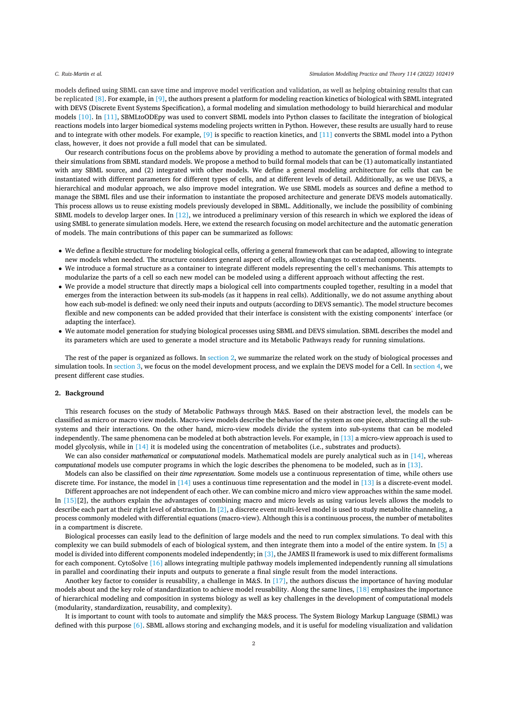models defined using SBML can save time and improve model verification and validation, as well as helping obtaining results that can be replicated [8]. For example, in [9], the authors present a platform for modeling reaction kinetics of biological with SBML integrated with DEVS (Discrete Event Systems Specification), a formal modeling and simulation methodology to build hierarchical and modular models [10]. In [11], SBMLtoODEpy was used to convert SBML models into Python classes to facilitate the integration of biological reactions models into larger biomedical systems modeling projects written in Python. However, these results are usually hard to reuse and to integrate with other models. For example, [9] is specific to reaction kinetics, and [11] converts the SBML model into a Python class, however, it does not provide a full model that can be simulated.

Our research contributions focus on the problems above by providing a method to automate the generation of formal models and their simulations from SBML standard models. We propose a method to build formal models that can be (1) automatically instantiated with any SBML source, and (2) integrated with other models. We define a general modeling architecture for cells that can be instantiated with different parameters for different types of cells, and at different levels of detail. Additionally, as we use DEVS, a hierarchical and modular approach, we also improve model integration. We use SBML models as sources and define a method to manage the SBML files and use their information to instantiate the proposed architecture and generate DEVS models automatically. This process allows us to reuse existing models previously developed in SBML. Additionally, we include the possibility of combining SBML models to develop larger ones. In  $[12]$ , we introduced a preliminary version of this research in which we explored the ideas of using SMBL to generate simulation models. Here, we extend the research focusing on model architecture and the automatic generation of models. The main contributions of this paper can be summarized as follows:

- We define a flexible structure for modeling biological cells, offering a general framework that can be adapted, allowing to integrate new models when needed. The structure considers general aspect of cells, allowing changes to external components.
- We introduce a formal structure as a container to integrate different models representing the cell's mechanisms. This attempts to modularize the parts of a cell so each new model can be modeled using a different approach without affecting the rest.
- We provide a model structure that directly maps a biological cell into compartments coupled together, resulting in a model that emerges from the interaction between its sub-models (as it happens in real cells). Additionally, we do not assume anything about how each sub-model is defined: we only need their inputs and outputs (according to DEVS semantic). The model structure becomes flexible and new components can be added provided that their interface is consistent with the existing components' interface (or adapting the interface).
- We automate model generation for studying biological processes using SBML and DEVS simulation. SBML describes the model and its parameters which are used to generate a model structure and its Metabolic Pathways ready for running simulations.

The rest of the paper is organized as follows. In section 2, we summarize the related work on the study of biological processes and simulation tools. In section 3, we focus on the model development process, and we explain the DEVS model for a Cell. In section 4, we present different case studies.

#### 2. Background

This research focuses on the study of Metabolic Pathways through M&S. Based on their abstraction level, the models can be classified as micro or macro view models. Macro-view models describe the behavior of the system as one piece, abstracting all the subsystems and their interactions. On the other hand, micro-view models divide the system into sub-systems that can be modeled independently. The same phenomena can be modeled at both abstraction levels. For example, in  $[13]$  a micro-view approach is used to model glycolysis, while in [14] it is modeled using the concentration of metabolites (i.e., substrates and products).

We can also consider mathematical or computational models. Mathematical models are purely analytical such as in  $[14]$ , whereas computational models use computer programs in which the logic describes the phenomena to be modeled, such as in [13].

Models can also be classified on their time representation. Some models use a continuous representation of time, while others use discrete time. For instance, the model in  $[14]$  uses a continuous time representation and the model in  $[13]$  is a discrete-event model.

Different approaches are not independent of each other. We can combine micro and micro view approaches within the same model. In [15][2], the authors explain the advantages of combining macro and micro levels as using various levels allows the models to describe each part at their right level of abstraction. In  $[2]$ , a discrete event multi-level model is used to study metabolite channeling, a process commonly modeled with differential equations (macro-view). Although this is a continuous process, the number of metabolites in a compartment is discrete.

Biological processes can easily lead to the definition of large models and the need to run complex simulations. To deal with this complexity we can build submodels of each of biological system, and then integrate them into a model of the entire system. In [5] a model is divided into different components modeled independently; in [3], the JAMES II framework is used to mix different formalisms for each component. CytoSolve [16] allows integrating multiple pathway models implemented independently running all simulations in parallel and coordinating their inputs and outputs to generate a final single result from the model interactions.

Another key factor to consider is reusability, a challenge in M&S. In [17], the authors discuss the importance of having modular models about and the key role of standardization to achieve model reusability. Along the same lines, [18] emphasizes the importance of hierarchical modeling and composition in systems biology as well as key challenges in the development of computational models (modularity, standardization, reusability, and complexity).

It is important to count with tools to automate and simplify the M&S process. The System Biology Markup Language (SBML) was defined with this purpose [6]. SBML allows storing and exchanging models, and it is useful for modeling visualization and validation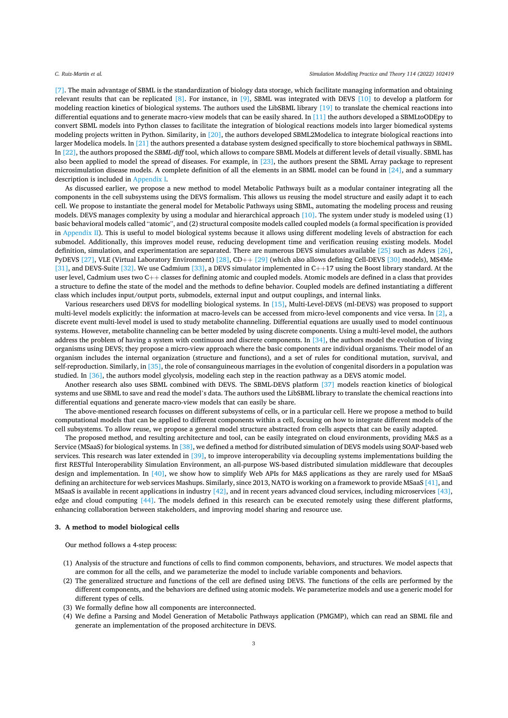[7]. The main advantage of SBML is the standardization of biology data storage, which facilitate managing information and obtaining relevant results that can be replicated [8]. For instance, in [9], SBML was integrated with DEVS [10] to develop a platform for modeling reaction kinetics of biological systems. The authors used the LibSBML library [19] to translate the chemical reactions into differential equations and to generate macro-view models that can be easily shared. In [11] the authors developed a SBMLtoODEpy to convert SBML models into Python classes to facilitate the integration of biological reactions models into larger biomedical systems modeling projects written in Python. Similarity, in [20], the authors developed SBML2Modelica to integrate biological reactions into larger Modelica models. In  $[21]$  the authors presented a database system designed specifically to store biochemical pathways in SBML. In [22], the authors proposed the SBML-diff tool, which allows to compare SBML Models at different levels of detail visually. SBML has also been applied to model the spread of diseases. For example, in [23], the authors present the SBML Array package to represent microsimulation disease models. A complete definition of all the elements in an SBML model can be found in  $[24]$ , and a summary description is included in Appendix I.

As discussed earlier, we propose a new method to model Metabolic Pathways built as a modular container integrating all the components in the cell subsystems using the DEVS formalism. This allows us reusing the model structure and easily adapt it to each cell. We propose to instantiate the general model for Metabolic Pathways using SBML, automating the modeling process and reusing models. DEVS manages complexity by using a modular and hierarchical approach [10]. The system under study is modeled using (1) basic behavioral models called "atomic", and (2) structural composite models called coupled models (a formal specification is provided in Appendix II). This is useful to model biological systems because it allows using different modeling levels of abstraction for each submodel. Additionally, this improves model reuse, reducing development time and verification reusing existing models. Model definition, simulation, and experimentation are separated. There are numerous DEVS simulators available [25] such as Adevs [26], PyDEVS [27], VLE (Virtual Laboratory Environment) [28], CD++ [29] (which also allows defining Cell-DEVS [30] models), MS4Me [31], and DEVS-Suite [32]. We use Cadmium [33], a DEVS simulator implemented in  $C++17$  using the Boost library standard. At the user level, Cadmium uses two  $C_{++}$  classes for defining atomic and coupled models. Atomic models are defined in a class that provides a structure to define the state of the model and the methods to define behavior. Coupled models are defined instantiating a different class which includes input/output ports, submodels, external input and output couplings, and internal links.

Various researchers used DEVS for modelling biological systems. In [15], Multi-Level-DEVS (ml-DEVS) was proposed to support multi-level models explicitly: the information at macro-levels can be accessed from micro-level components and vice versa. In [2], a discrete event multi-level model is used to study metabolite channeling. Differential equations are usually used to model continuous systems. However, metabolite channeling can be better modeled by using discrete components. Using a multi-level model, the authors address the problem of having a system with continuous and discrete components. In [34], the authors model the evolution of living organisms using DEVS; they propose a micro-view approach where the basic components are individual organisms. Their model of an organism includes the internal organization (structure and functions), and a set of rules for conditional mutation, survival, and self-reproduction. Similarly, in [35], the role of consanguineous marriages in the evolution of congenital disorders in a population was studied. In [36], the authors model glycolysis, modeling each step in the reaction pathway as a DEVS atomic model.

Another research also uses SBML combined with DEVS. The SBML-DEVS platform [37] models reaction kinetics of biological systems and use SBML to save and read the model's data. The authors used the LibSBML library to translate the chemical reactions into differential equations and generate macro-view models that can easily be share.

The above-mentioned research focusses on different subsystems of cells, or in a particular cell. Here we propose a method to build computational models that can be applied to different components within a cell, focusing on how to integrate different models of the cell subsystems. To allow reuse, we propose a general model structure abstracted from cells aspects that can be easily adapted.

The proposed method, and resulting architecture and tool, can be easily integrated on cloud environments, providing M&S as a Service (MSaaS) for biological systems. In [38], we defined a method for distributed simulation of DEVS models using SOAP-based web services. This research was later extended in  $[39]$ , to improve interoperability via decoupling systems implementations building the first RESTful Interoperability Simulation Environment, an all-purpose WS-based distributed simulation middleware that decouples design and implementation. In  $[40]$ , we show how to simplify Web APIs for M&S applications as they are rarely used for MSaaS defining an architecture for web services Mashups. Similarly, since 2013, NATO is working on a framework to provide MSaaS [41], and MSaaS is available in recent applications in industry  $[42]$ , and in recent years advanced cloud services, including microservices  $[43]$ , edge and cloud computing [44]. The models defined in this research can be executed remotely using these different platforms. enhancing collaboration between stakeholders, and improving model sharing and resource use.

## 3. A method to model biological cells

Our method follows a 4-step process:

- (1) Analysis of the structure and functions of cells to find common components, behaviors, and structures. We model aspects that are common for all the cells, and we parameterize the model to include variable components and behaviors.
- (2) The generalized structure and functions of the cell are defined using DEVS. The functions of the cells are performed by the different components, and the behaviors are defined using atomic models. We parameterize models and use a generic model for different types of cells.
- (3) We formally define how all components are interconnected.
- (4) We define a Parsing and Model Generation of Metabolic Pathways application (PMGMP), which can read an SBML file and generate an implementation of the proposed architecture in DEVS.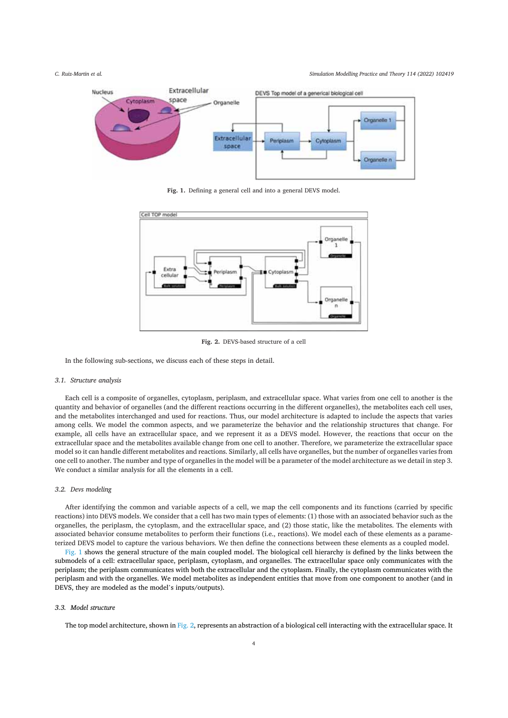

Fig. 1. Defining a general cell and into a general DEVS model.



Fig. 2. DEVS-based structure of a cell

In the following sub-sections, we discuss each of these steps in detail.

# 3.1. Structure analysis

Each cell is a composite of organelles, cytoplasm, periplasm, and extracellular space. What varies from one cell to another is the quantity and behavior of organelles (and the different reactions occurring in the different organelles), the metabolites each cell uses, and the metabolites interchanged and used for reactions. Thus, our model architecture is adapted to include the aspects that varies among cells. We model the common aspects, and we parameterize the behavior and the relationship structures that change. For example, all cells have an extracellular space, and we represent it as a DEVS model. However, the reactions that occur on the extracellular space and the metabolites available change from one cell to another. Therefore, we parameterize the extracellular space model so it can handle different metabolites and reactions. Similarly, all cells have organelles, but the number of organelles varies from one cell to another. The number and type of organelles in the model will be a parameter of the model architecture as we detail in step 3. We conduct a similar analysis for all the elements in a cell.

# 3.2. Devs modeling

After identifying the common and variable aspects of a cell, we map the cell components and its functions (carried by specific reactions) into DEVS models. We consider that a cell has two main types of elements: (1) those with an associated behavior such as the organelles, the periplasm, the cytoplasm, and the extracellular space, and (2) those static, like the metabolites. The elements with associated behavior consume metabolites to perform their functions (i.e., reactions). We model each of these elements as a parameterized DEVS model to capture the various behaviors. We then define the connections between these elements as a coupled model.

Fig. 1 shows the general structure of the main coupled model. The biological cell hierarchy is defined by the links between the submodels of a cell: extracellular space, periplasm, cytoplasm, and organelles. The extracellular space only communicates with the periplasm; the periplasm communicates with both the extracellular and the cytoplasm. Finally, the cytoplasm communicates with the periplasm and with the organelles. We model metabolites as independent entities that move from one component to another (and in DEVS, they are modeled as the model's inputs/outputs).

# 3.3. Model structure

The top model architecture, shown in Fig. 2, represents an abstraction of a biological cell interacting with the extracellular space. It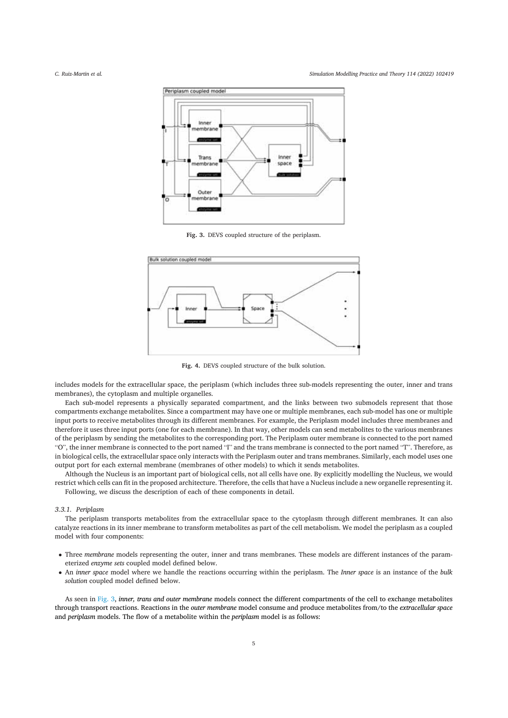Simulation Modelling Practice and Theory 114 (2022) 102419



Fig. 3. DEVS coupled structure of the periplasm.



Fig. 4. DEVS coupled structure of the bulk solution.

includes models for the extracellular space, the periplasm (which includes three sub-models representing the outer, inner and trans membranes), the cytoplasm and multiple organelles.

Each sub-model represents a physically separated compartment, and the links between two submodels represent that those compartments exchange metabolites. Since a compartment may have one or multiple membranes, each sub-model has one or multiple input ports to receive metabolites through its different membranes. For example, the Periplasm model includes three membranes and therefore it uses three input ports (one for each membrane). In that way, other models can send metabolites to the various membranes of the periplasm by sending the metabolites to the corresponding port. The Periplasm outer membrane is connected to the port named "O", the inner membrane is connected to the port named "I" and the trans membrane is connected to the port named "T". Therefore, as in biological cells, the extracellular space only interacts with the Periplasm outer and trans membranes. Similarly, each model uses one output port for each external membrane (membranes of other models) to which it sends metabolites.

Although the Nucleus is an important part of biological cells, not all cells have one. By explicitly modelling the Nucleus, we would restrict which cells can fit in the proposed architecture. Therefore, the cells that have a Nucleus include a new organelle representing it. Following, we discuss the description of each of these components in detail.

# 3.3.1. Periplasm

The periplasm transports metabolites from the extracellular space to the cytoplasm through different membranes. It can also catalyze reactions in its inner membrane to transform metabolites as part of the cell metabolism. We model the periplasm as a coupled model with four components:

- Three membrane models representing the outer, inner and trans membranes. These models are different instances of the parameterized enzyme sets coupled model defined below.
- An inner space model where we handle the reactions occurring within the periplasm. The Inner space is an instance of the bulk solution coupled model defined below.

As seen in Fig. 3, inner, trans and outer membrane models connect the different compartments of the cell to exchange metabolites through transport reactions. Reactions in the outer membrane model consume and produce metabolites from/to the extracellular space and *periplasm* models. The flow of a metabolite within the *periplasm* model is as follows: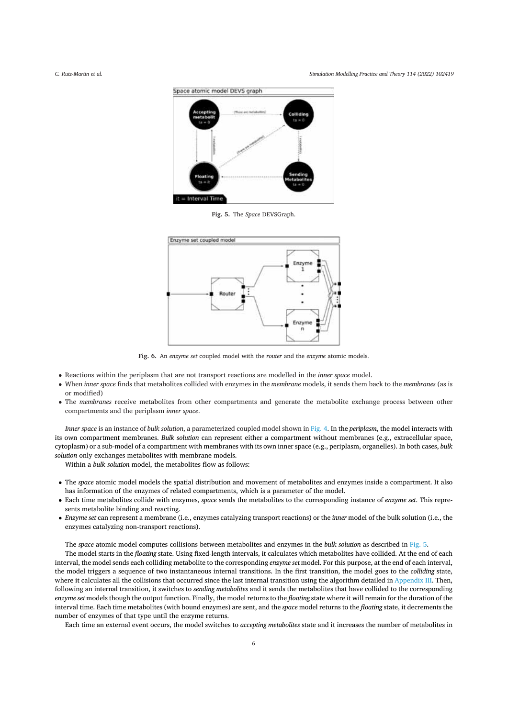Simulation Modelling Practice and Theory 114 (2022) 102419



Fig. 5. The Space DEVSGraph.



Fig. 6. An enzyme set coupled model with the router and the enzyme atomic models.

- Reactions within the periplasm that are not transport reactions are modelled in the *inner space* model.
- When inner space finds that metabolites collided with enzymes in the membrane models, it sends them back to the membranes (as is or modified)
- The membranes receive metabolites from other compartments and generate the metabolite exchange process between other compartments and the periplasm inner space.

Inner space is an instance of bulk solution, a parameterized coupled model shown in Fig. 4. In the periplasm, the model interacts with its own compartment membranes. Bulk solution can represent either a compartment without membranes (e.g., extracellular space, cytoplasm) or a sub-model of a compartment with membranes with its own inner space (e.g., periplasm, organelles). In both cases, bulk solution only exchanges metabolites with membrane models.

Within a bulk solution model, the metabolites flow as follows:

- The space atomic model models the spatial distribution and movement of metabolites and enzymes inside a compartment. It also has information of the enzymes of related compartments, which is a parameter of the model.
- Each time metabolites collide with enzymes, space sends the metabolites to the corresponding instance of enzyme set. This represents metabolite binding and reacting.
- Enzyme set can represent a membrane (i.e., enzymes catalyzing transport reactions) or the *inner* model of the bulk solution (i.e., the enzymes catalyzing non-transport reactions).

The space atomic model computes collisions between metabolites and enzymes in the bulk solution as described in Fig. 5.

The model starts in the floating state. Using fixed-length intervals, it calculates which metabolites have collided. At the end of each interval, the model sends each colliding metabolite to the corresponding enzyme set model. For this purpose, at the end of each interval, the model triggers a sequence of two instantaneous internal transitions. In the first transition, the model goes to the colliding state, where it calculates all the collisions that occurred since the last internal transition using the algorithm detailed in Appendix III. Then, following an internal transition, it switches to *sending metabolites* and it sends the metabolites that have collided to the corresponding enzyme set models though the output function. Finally, the model returns to the floating state where it will remain for the duration of the interval time. Each time metabolites (with bound enzymes) are sent, and the space model returns to the floating state, it decrements the number of enzymes of that type until the enzyme returns.

Each time an external event occurs, the model switches to accepting metabolites state and it increases the number of metabolites in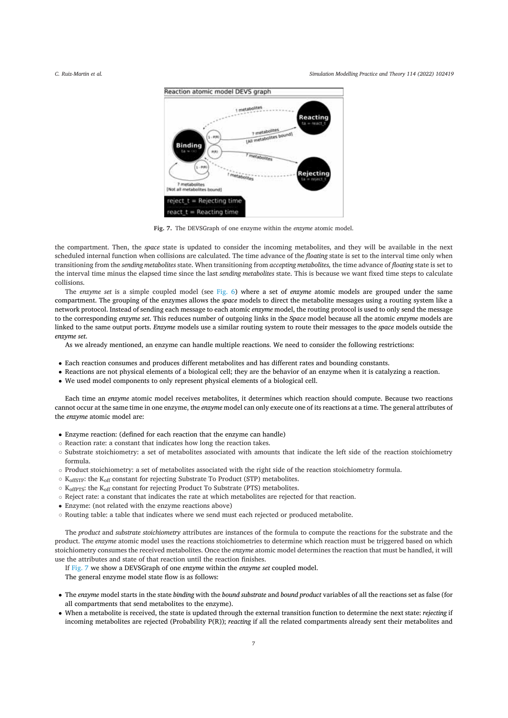Simulation Modelling Practice and Theory 114 (2022) 102419



Fig. 7. The DEVSGraph of one enzyme within the enzyme atomic model.

the compartment. Then, the space state is updated to consider the incoming metabolites, and they will be available in the next scheduled internal function when collisions are calculated. The time advance of the floating state is set to the interval time only when transitioning from the sending metabolites state. When transitioning from accepting metabolites, the time advance of floating state is set to the interval time minus the elapsed time since the last sending metabolites state. This is because we want fixed time steps to calculate collisions.

The enzyme set is a simple coupled model (see Fig. 6) where a set of enzyme atomic models are grouped under the same compartment. The grouping of the enzymes allows the *space* models to direct the metabolite messages using a routing system like a network protocol. Instead of sending each message to each atomic enzyme model, the routing protocol is used to only send the message to the corresponding enzyme set. This reduces number of outgoing links in the Space model because all the atomic enzyme models are linked to the same output ports. Enzyme models use a similar routing system to route their messages to the space models outside the enzyme set.

As we already mentioned, an enzyme can handle multiple reactions. We need to consider the following restrictions:

- Each reaction consumes and produces different metabolites and has different rates and bounding constants.
- Reactions are not physical elements of a biological cell: they are the behavior of an enzyme when it is catalyzing a reaction.
- We used model components to only represent physical elements of a biological cell.

Each time an enzyme atomic model receives metabolites, it determines which reaction should compute. Because two reactions cannot occur at the same time in one enzyme, the *enzyme* model can only execute one of its reactions at a time. The general attributes of the enzyme atomic model are:

- Enzyme reaction: (defined for each reaction that the enzyme can handle)
- o Reaction rate: a constant that indicates how long the reaction takes.
- o Substrate stoichiometry: a set of metabolites associated with amounts that indicate the left side of the reaction stoichiometry formula.
- o Product stoichiometry: a set of metabolites associated with the right side of the reaction stoichiometry formula.
- K<sub>offSTP</sub>: the K<sub>off</sub> constant for rejecting Substrate To Product (STP) metabolites.
- $\circ$  K<sub>offPTS</sub>: the K<sub>off</sub> constant for rejecting Product To Substrate (PTS) metabolites.
- o Reject rate: a constant that indicates the rate at which metabolites are rejected for that reaction.
- Enzyme: (not related with the enzyme reactions above)
- o Routing table: a table that indicates where we send must each rejected or produced metabolite.

The product and substrate stoichiometry attributes are instances of the formula to compute the reactions for the substrate and the product. The enzyme atomic model uses the reactions stoichiometries to determine which reaction must be triggered based on which stoichiometry consumes the received metabolites. Once the enzyme atomic model determines the reaction that must be handled, it will use the attributes and state of that reaction until the reaction finishes.

If Fig. 7 we show a DEVSGraph of one enzyme within the enzyme set coupled model. The general enzyme model state flow is as follows:

- The enzyme model starts in the state binding with the bound substrate and bound product variables of all the reactions set as false (for all compartments that send metabolites to the enzyme).
- When a metabolite is received, the state is updated through the external transition function to determine the next state: rejecting if incoming metabolites are rejected (Probability P(R)); reacting if all the related compartments already sent their metabolites and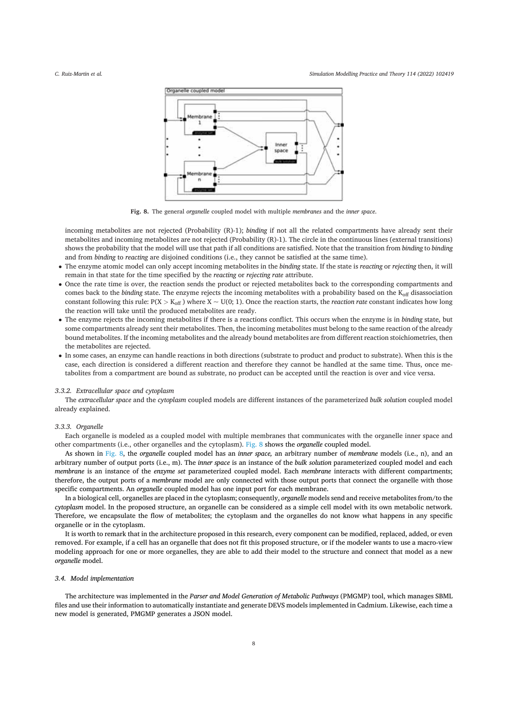Simulation Modelling Practice and Theory 114 (2022) 102419



Fig. 8. The general organelle coupled model with multiple membranes and the inner space.

incoming metabolites are not rejected (Probability (R)-1); binding if not all the related compartments have already sent their metabolites and incoming metabolites are not rejected (Probability (R)-1). The circle in the continuous lines (external transitions) shows the probability that the model will use that path if all conditions are satisfied. Note that the transition from binding to binding and from binding to reacting are disjoined conditions (i.e., they cannot be satisfied at the same time).

- The enzyme atomic model can only accept incoming metabolites in the binding state. If the state is reacting or rejecting then, it will remain in that state for the time specified by the reacting or rejecting rate attribute.
- Once the rate time is over, the reaction sends the product or rejected metabolites back to the corresponding compartments and comes back to the binding state. The enzyme rejects the incoming metabolites with a probability based on the K<sub>off</sub> disassociation constant following this rule:  $P(X > K_{off})$  where  $X \sim U(0, 1)$ . Once the reaction starts, the *reaction rate* constant indicates how long the reaction will take until the produced metabolites are ready.
- The enzyme rejects the incoming metabolites if there is a reactions conflict. This occurs when the enzyme is in binding state, but some compartments already sent their metabolites. Then, the incoming metabolites must belong to the same reaction of the already bound metabolites. If the incoming metabolites and the already bound metabolites are from different reaction stoichiometries, then the metabolites are rejected.
- In some cases, an enzyme can handle reactions in both directions (substrate to product and product to substrate). When this is the case, each direction is considered a different reaction and therefore they cannot be handled at the same time. Thus, once metabolites from a compartment are bound as substrate, no product can be accepted until the reaction is over and vice versa.

#### 3.3.2. Extracellular space and cytoplasm

The extracellular space and the cytoplasm coupled models are different instances of the parameterized bulk solution coupled model already explained.

# 3.3.3. Organelle

Each organelle is modeled as a coupled model with multiple membranes that communicates with the organelle inner space and other compartments (i.e., other organelles and the cytoplasm). Fig. 8 shows the organelle coupled model.

As shown in Fig. 8, the organelle coupled model has an inner space, an arbitrary number of membrane models (i.e., n), and an arbitrary number of output ports (i.e., m). The inner space is an instance of the bulk solution parameterized coupled model and each membrane is an instance of the enzyme set parameterized coupled model. Each membrane interacts with different compartments; therefore, the output ports of a membrane model are only connected with those output ports that connect the organelle with those specific compartments. An organelle coupled model has one input port for each membrane.

In a biological cell, organelles are placed in the cytoplasm; consequently, organelle models send and receive metabolites from/to the cytoplasm model. In the proposed structure, an organelle can be considered as a simple cell model with its own metabolic network. Therefore, we encapsulate the flow of metabolites; the cytoplasm and the organelles do not know what happens in any specific organelle or in the cytoplasm.

It is worth to remark that in the architecture proposed in this research, every component can be modified, replaced, added, or even removed. For example, if a cell has an organelle that does not fit this proposed structure, or if the modeler wants to use a macro-view modeling approach for one or more organelles, they are able to add their model to the structure and connect that model as a new organelle model.

# 3.4. Model implementation

The architecture was implemented in the Parser and Model Generation of Metabolic Pathways (PMGMP) tool, which manages SBML files and use their information to automatically instantiate and generate DEVS models implemented in Cadmium. Likewise, each time a new model is generated, PMGMP generates a JSON model.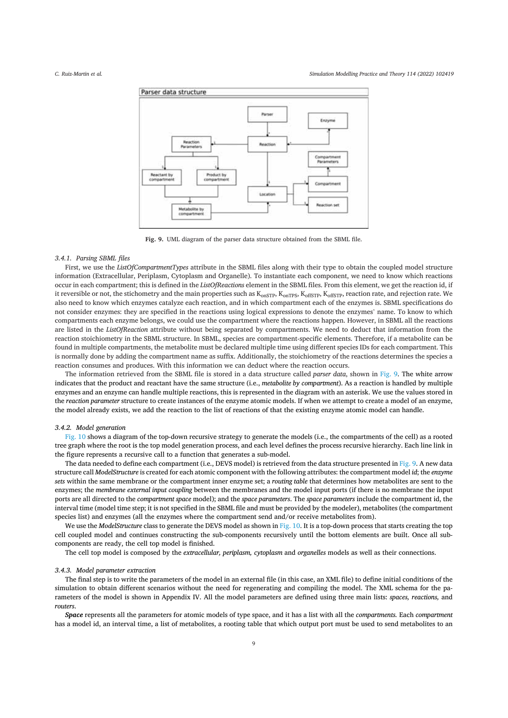

Fig. 9. UML diagram of the parser data structure obtained from the SBML file.

# 3.4.1. Parsing SBML files

First, we use the ListOfCompartmentTypes attribute in the SBML files along with their type to obtain the coupled model structure information (Extracellular, Periplasm, Cytoplasm and Organelle). To instantiate each component, we need to know which reactions occur in each compartment; this is defined in the ListOfReactions element in the SBML files. From this element, we get the reaction id, if it reversible or not, the stichometry and the main properties such as K<sub>OnSTP</sub>, K<sub>OnSTP</sub>, K<sub>OffSTP</sub>, K<sub>OffSTP</sub>, reaction rate, and rejection rate. We also need to know which enzymes catalyze each reaction, and in which compartment each of the enzymes is. SBML specifications do not consider enzymes: they are specified in the reactions using logical expressions to denote the enzymes' name. To know to which compartments each enzyme belongs, we could use the compartment where the reactions happen. However, in SBML all the reactions are listed in the ListOfReaction attribute without being separated by compartments. We need to deduct that information from the reaction stoichiometry in the SBML structure. In SBML, species are compartment-specific elements. Therefore, if a metabolite can be found in multiple compartments, the metabolite must be declared multiple time using different species IDs for each compartment. This is normally done by adding the compartment name as suffix. Additionally, the stoichiometry of the reactions determines the species a reaction consumes and produces. With this information we can deduct where the reaction occurs.

The information retrieved from the SBML file is stored in a data structure called parser data, shown in Fig. 9. The white arrow indicates that the product and reactant have the same structure (i.e., metabolite by compartment). As a reaction is handled by multiple enzymes and an enzyme can handle multiple reactions, this is represented in the diagram with an asterisk. We use the values stored in the reaction parameter structure to create instances of the enzyme atomic models. If when we attempt to create a model of an enzyme, the model already exists, we add the reaction to the list of reactions of that the existing enzyme atomic model can handle.

# 3.4.2. Model generation

Fig. 10 shows a diagram of the top-down recursive strategy to generate the models (i.e., the compartments of the cell) as a rooted tree graph where the root is the top model generation process, and each level defines the process recursive hierarchy. Each line link in the figure represents a recursive call to a function that generates a sub-model.

The data needed to define each compartment (i.e., DEVS model) is retrieved from the data structure presented in Fig. 9. A new data structure call ModelStructure is created for each atomic component with the following attributes: the compartment model id: the enzyme sets within the same membrane or the compartment inner enzyme set; a routing table that determines how metabolites are sent to the enzymes; the membrane external input coupling between the membranes and the model input ports (if there is no membrane the input ports are all directed to the compartment space model); and the space parameters. The space parameters include the compartment id, the interval time (model time step; it is not specified in the SBML file and must be provided by the modeler), metabolites (the compartment species list) and enzymes (all the enzymes where the compartment send and/or receive metabolites from).

We use the ModelStructure class to generate the DEVS model as shown in Fig. 10. It is a top-down process that starts creating the top cell coupled model and continues constructing the sub-components recursively until the bottom elements are built. Once all subcomponents are ready, the cell top model is finished.

The cell top model is composed by the extracellular, periplasm, cytoplasm and organelles models as well as their connections.

## 3.4.3. Model parameter extraction

The final step is to write the parameters of the model in an external file (in this case, an XML file) to define initial conditions of the simulation to obtain different scenarios without the need for regenerating and compiling the model. The XML schema for the parameters of the model is shown in Appendix IV. All the model parameters are defined using three main lists: spaces, reactions, and routers

Space represents all the parameters for atomic models of type space, and it has a list with all the compartments. Each compartment has a model id, an interval time, a list of metabolites, a rooting table that which output port must be used to send metabolites to an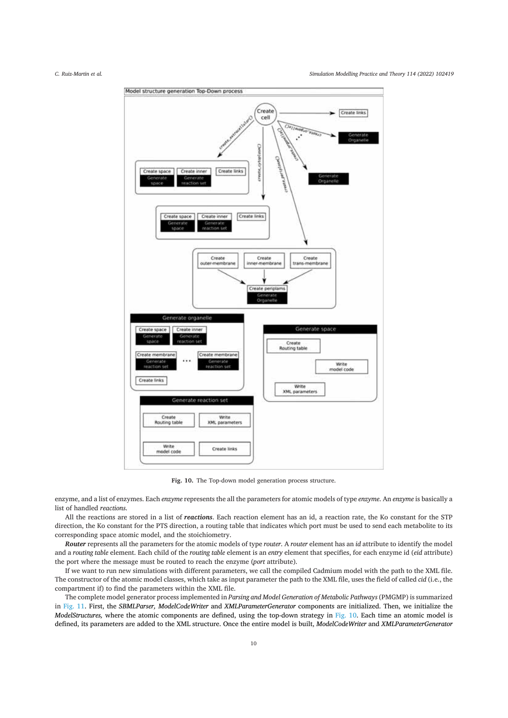

Fig. 10. The Top-down model generation process structure.

enzyme, and a list of enzymes. Each enzyme represents the all the parameters for atomic models of type enzyme. An enzyme is basically a list of handled reactions.

All the reactions are stored in a list of reactions. Each reaction element has an id, a reaction rate, the Ko constant for the STP direction, the Ko constant for the PTS direction, a routing table that indicates which port must be used to send each metabolite to its corresponding space atomic model, and the stoichiometry.

Router represents all the parameters for the atomic models of type router. A router element has an id attribute to identify the model and a routing table element. Each child of the routing table element is an entry element that specifies, for each enzyme id (eid attribute) the port where the message must be routed to reach the enzyme (port attribute).

If we want to run new simulations with different parameters, we call the compiled Cadmium model with the path to the XML file. The constructor of the atomic model classes, which take as input parameter the path to the XML file, uses the field of called cid (i.e., the compartment if) to find the parameters within the XML file.

The complete model generator process implemented in Parsing and Model Generation of Metabolic Pathways (PMGMP) is summarized in Fig. 11. First, the SBMLParser, ModelCodeWriter and XMLParameterGenerator components are initialized. Then, we initialize the ModelStructures, where the atomic components are defined, using the top-down strategy in Fig. 10. Each time an atomic model is defined, its parameters are added to the XML structure. Once the entire model is built, ModelCodeWriter and XMLParameterGenerator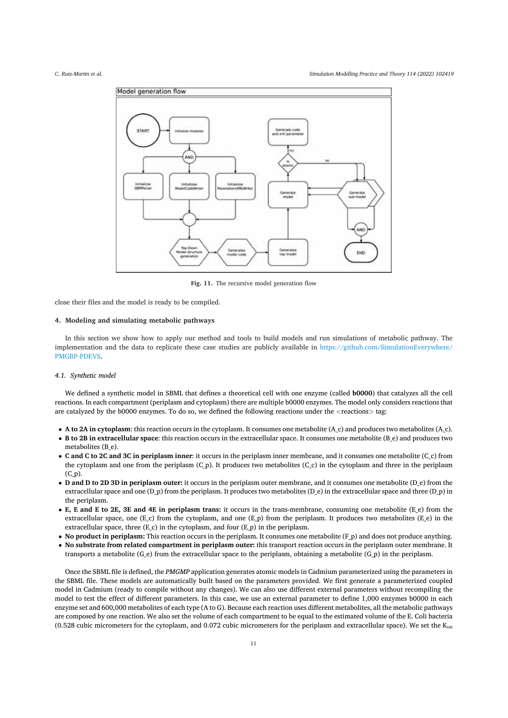

Fig. 11. The recursive model generation flow

close their files and the model is ready to be compiled.

# 4. Modeling and simulating metabolic pathways

In this section we show how to apply our method and tools to build models and run simulations of metabolic pathway. The implementation and the data to replicate these case studies are publicly available in https://github.com/SimulationEverywhere/ PMGBP-PDEVS.

## 4.1. Synthetic model

We defined a synthetic model in SBML that defines a theoretical cell with one enzyme (called b0000) that catalyzes all the cell reactions. In each compartment (periplasm and cytoplasm) there are multiple b0000 enzymes. The model only considers reactions that are catalyzed by the b0000 enzymes. To do so, we defined the following reactions under the <reactions> tag:

- A to 2A in cytoplasm: this reaction occurs in the cytoplasm. It consumes one metabolite (A\_c) and produces two metabolites (A\_c).
- B to 2B in extracellular space: this reaction occurs in the extracellular space. It consumes one metabolite (B e) and produces two metabolites (B e).
- C and C to 2C and 3C in periplasm inner: it occurs in the periplasm inner membrane, and it consumes one metabolite (C c) from the cytoplasm and one from the periplasm (C\_p). It produces two metabolites (C\_c) in the cytoplasm and three in the periplasm  $(C<sub>D</sub>)$ .
- D and D to 2D 3D in periplasm outer: it occurs in the periplasm outer membrane, and it consumes one metabolite (D\_e) from the extracellular space and one  $(D_p)$  from the periplasm. It produces two metabolites  $(D_e)$  in the extracellular space and three  $(D_p)$  in the periplasm.
- E, E and E to 2E, 3E and 4E in periplasm trans: it occurs in the trans-membrane, consuming one metabolite (E e) from the extracellular space, one (E c) from the cytoplasm, and one (E p) from the periplasm. It produces two metabolites (E e) in the extracellular space, three  $(E_c)$  in the cytoplasm, and four  $(E_p)$  in the periplasm.
- No product in periplasm: This reaction occurs in the periplasm. It consumes one metabolite  $(F_p)$  and does not produce anything.
- No substrate from related compartment in periplasm outer: this transport reaction occurs in the periplasm outer membrane. It transports a metabolite (G<sub>-</sub>e) from the extracellular space to the periplasm, obtaining a metabolite (G<sub>-</sub>p) in the periplasm.

Once the SBML file is defined, the PMGMP application generates atomic models in Cadmium parameterized using the parameters in the SBML file. These models are automatically built based on the parameters provided. We first generate a parameterized coupled model in Cadmium (ready to compile without any changes). We can also use different external parameters without recompiling the model to test the effect of different parameters. In this case, we use an external parameter to define 1,000 enzymes b0000 in each enzyme set and 600,000 metabolites of each type (A to G). Because each reaction uses different metabolites, all the metabolic pathways are composed by one reaction. We also set the volume of each compartment to be equal to the estimated volume of the E. Coli bacteria (0.528 cubic micrometers for the cytoplasm, and 0.072 cubic micrometers for the periplasm and extracellular space). We set the  $K_{on}$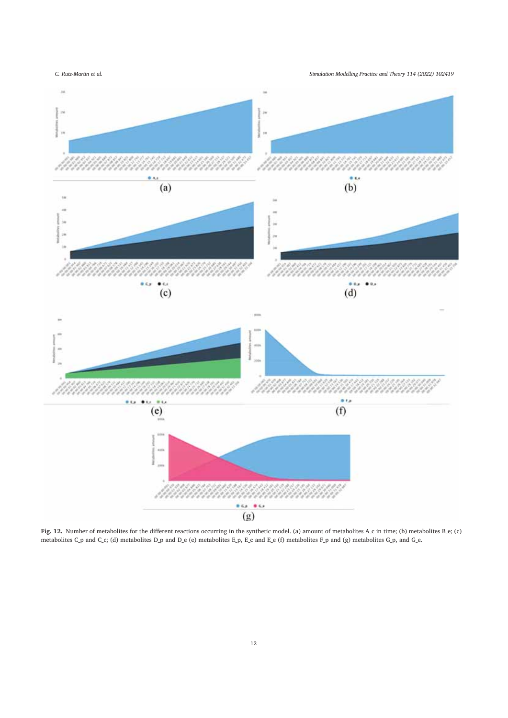Simulation Modelling Practice and Theory 114 (2022) 102419



Fig. 12. Number of metabolites for the different reactions occurring in the synthetic model. (a) amount of metabolites  $A_c$  in time; (b) metabolites  $B_c$ ; (c) metabolites  $C_p$  and  $C_c$ ; (d) metabolites  $D_p$  and  $D_e$  (e) m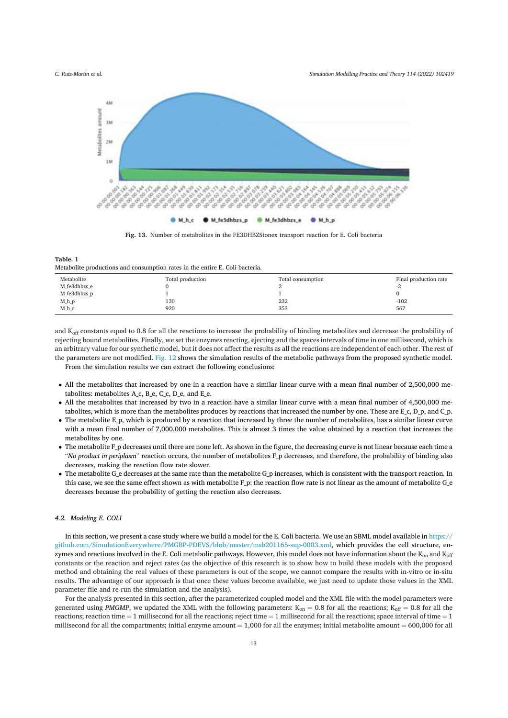Simulation Modelling Practice and Theory 114 (2022) 102419



Fig. 13. Number of metabolites in the FE3DHBZStonex transport reaction for E. Coli bacteria

Table 1 Metabolite productions and consumption rates in the entire E. Coli bacteria.

| Metabolite   | Total production | Total consumption | Final production rate |
|--------------|------------------|-------------------|-----------------------|
| M fe3dhbzs e |                  |                   | $-L$                  |
| M fe3dhbzs p |                  |                   |                       |
| $M_h$        | 130              | 232               | $-102$                |
| $M_hc$       | 920              | 353               | 567                   |

and K<sub>off</sub> constants equal to 0.8 for all the reactions to increase the probability of binding metabolites and decrease the probability of rejecting bound metabolites. Finally, we set the enzymes reacting, ejecting and the spaces intervals of time in one millisecond, which is an arbitrary value for our synthetic model, but it does not affect the results as all the reactions are independent of each other. The rest of the parameters are not modified. Fig. 12 shows the simulation results of the metabolic pathways from the proposed synthetic model. From the simulation results we can extract the following conclusions:

- All the metabolites that increased by one in a reaction have a similar linear curve with a mean final number of 2,500,000 metabolites: metabolites A c, B e, C c, D e, and E e.
- All the metabolites that increased by two in a reaction have a similar linear curve with a mean final number of 4,500,000 metabolites, which is more than the metabolites produces by reactions that increased the number by one. These are  $E_c$ ,  $D_p$ , and  $C_p$ .
- The metabolite  $E_p$ , which is produced by a reaction that increased by three the number of metabolites, has a similar linear curve with a mean final number of 7,000,000 metabolites. This is almost 3 times the value obtained by a reaction that increases the metabolites by one.
- The metabolite F<sub>P</sub> decreases until there are none left. As shown in the figure, the decreasing curve is not linear because each time a "No product in periplasm" reaction occurs, the number of metabolites F\_p decreases, and therefore, the probability of binding also decreases, making the reaction flow rate slower.
- $\bullet$  The metabolite G e decreases at the same rate than the metabolite G p increases, which is consistent with the transport reaction. In this case, we see the same effect shown as with metabolite F\_p: the reaction flow rate is not linear as the amount of metabolite G\_e decreases because the probability of getting the reaction also decreases.

# 4.2. Modeling E. COLI

In this section, we present a case study where we build a model for the E. Coli bacteria. We use an SBML model available in https:// github.com/SimulationEverywhere/PMGBP-PDEVS/blob/master/msb201165-sup-0003.xml, which provides the cell structure, enzymes and reactions involved in the E. Coli metabolic pathways. However, this model does not have information about the  $K_{on}$  and  $K_{off}$ constants or the reaction and reject rates (as the objective of this research is to show how to build these models with the proposed method and obtaining the real values of these parameters is out of the scope, we cannot compare the results with in-vitro or in-situ results. The advantage of our approach is that once these values become available, we just need to update those values in the XML parameter file and re-run the simulation and the analysis).

For the analysis presented in this section, after the parameterized coupled model and the XML file with the model parameters were generated using PMGMP, we updated the XML with the following parameters:  $K_{on} = 0.8$  for all the reactions;  $K_{off} = 0.8$  for all the reactions; reaction time  $= 1$  millisecond for all the reactions; reject time  $= 1$  millisecond for all the reactions; space interval of time  $= 1$ millisecond for all the compartments; initial enzyme amount  $= 1,000$  for all the enzymes; initial metabolite amount  $= 600,000$  for all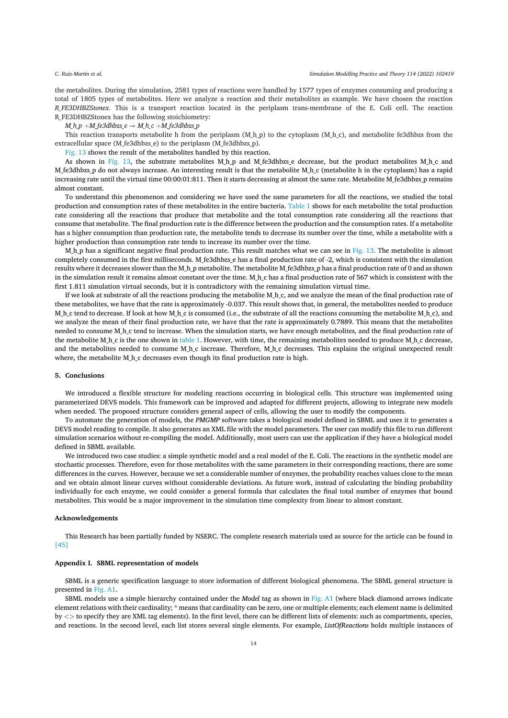the metabolites. During the simulation, 2581 types of reactions were handled by 1577 types of enzymes consuming and producing a total of 1805 types of metabolites. Here we analyze a reaction and their metabolites as example. We have chosen the reaction R\_FE3DHBZStonex. This is a transport reaction located in the periplasm trans-membrane of the E. Coli cell. The reaction R\_FE3DHBZStonex has the following stoichiometry:

 $M_h p + M_f e3dh bzs_e e \rightarrow M_h c + M_f e3dh bzs_p$ 

This reaction transports metabolite h from the periplasm (M h p) to the cytoplasm (M h c), and metabolite fe3dhbzs from the extracellular space (M fe3dhbzs e) to the periplasm (M fe3dhbzs p).

Fig. 13 shows the result of the metabolites handled by this reaction.

As shown in Fig. 13, the substrate metabolites M\_h\_p and M\_fe3dhbzs\_e decrease, but the product metabolites M\_h\_c and M fe3dhbzs\_p do not always increase. An interesting result is that the metabolite M h c (metabolite h in the cytoplasm) has a rapid increasing rate until the virtual time 00:00:01:811. Then it starts decreasing at almost the same rate. Metabolite M\_fe3dhbzs\_p remains almost constant.

To understand this phenomenon and considering we have used the same parameters for all the reactions, we studied the total production and consumption rates of these metabolites in the entire bacteria. Table 1 shows for each metabolite the total production rate considering all the reactions that produce that metabolite and the total consumption rate considering all the reactions that consume that metabolite. The final production rate is the difference between the production and the consumption rates. If a metabolite has a higher consumption than production rate, the metabolite tends to decrease its number over the time, while a metabolite with a higher production than consumption rate tends to increase its number over the time.

 $M_h$  h as a significant negative final production rate. This result matches what we can see in Fig. 13. The metabolite is almost completely consumed in the first milliseconds. M\_fe3dhbzs\_e has a final production rate of -2, which is consistent with the simulation results where it decreases slower than the M\_h\_p metabolite. The metabolite M\_fe3dhbzs\_p has a final production rate of 0 and as shown in the simulation result it remains almost constant over the time. M h c has a final production rate of 567 which is consistent with the first 1.811 simulation virtual seconds, but it is contradictory with the remaining simulation virtual time.

If we look at substrate of all the reactions producing the metabolite M<sub>\_h\_c</sub>, and we analyze the mean of the final production rate of these metabolites, we have that the rate is approximately -0.037. This result shows that, in general, the metabolites needed to produce M h c tend to decrease. If look at how M h c is consumed (i.e., the substrate of all the reactions consuming the metabolite M h c), and we analyze the mean of their final production rate, we have that the rate is approximately 0.7889. This means that the metabolites needed to consume M\_h\_c tend to increase. When the simulation starts, we have enough metabolites, and the final production rate of the metabolite M h c is the one shown in table 1. However, with time, the remaining metabolites needed to produce M h c decrease, and the metabolites needed to consume M<sub>\_h\_</sub>c increase. Therefore, M\_h\_c decreases. This explains the original unexpected result where, the metabolite M<sub>\_h\_c</sub> decreases even though its final production rate is high.

#### 5. Conclusions

We introduced a flexible structure for modeling reactions occurring in biological cells. This structure was implemented using parameterized DEVS models. This framework can be improved and adapted for different projects, allowing to integrate new models when needed. The proposed structure considers general aspect of cells, allowing the user to modify the components.

To automate the generation of models, the PMGMP software takes a biological model defined in SBML and uses it to generates a DEVS model reading to compile. It also generates an XML file with the model parameters. The user can modify this file to run different simulation scenarios without re-compiling the model. Additionally, most users can use the application if they have a biological model defined in SBML available.

We introduced two case studies: a simple synthetic model and a real model of the E. Coli. The reactions in the synthetic model are stochastic processes. Therefore, even for those metabolites with the same parameters in their corresponding reactions, there are some differences in the curves. However, because we set a considerable number of enzymes, the probability reaches values close to the mean and we obtain almost linear curves without considerable deviations. As future work, instead of calculating the binding probability individually for each enzyme, we could consider a general formula that calculates the final total number of enzymes that bound metabolites. This would be a major improvement in the simulation time complexity from linear to almost constant.

#### Acknowledgements

This Research has been partially funded by NSERC. The complete research materials used as source for the article can be found in  $[45]$ 

# Appendix I. SBML representation of models

SBML is a generic specification language to store information of different biological phenomena. The SBML general structure is presented in Fig. A1.

SBML models use a simple hierarchy contained under the Model tag as shown in Fig. A1 (where black diamond arrows indicate element relations with their cardinality; \* means that cardinality can be zero, one or multiple elements; each element name is delimited by  $\langle$   $>$  to specify they are XML tag elements). In the first level, there can be different lists of elements: such as compartments, species, and reactions. In the second level, each list stores several single elements. For example, ListOfReactions holds multiple instances of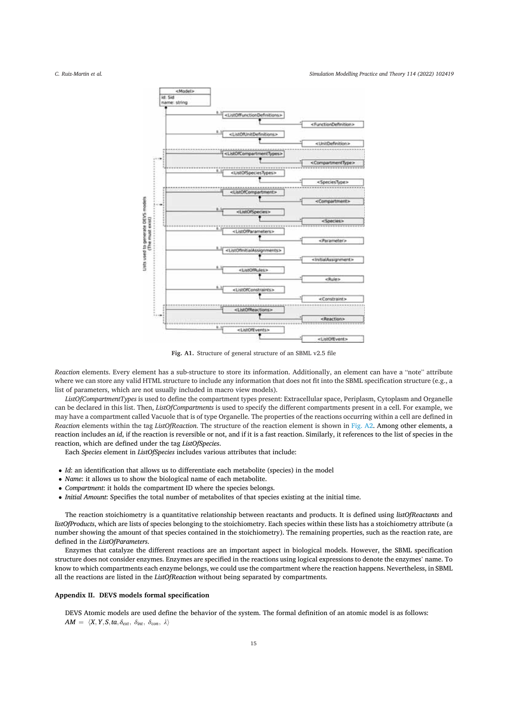#### Simulation Modelling Practice and Theory 114 (2022) 102419



Fig. A1. Structure of general structure of an SBML v2.5 file

Reaction elements. Every element has a sub-structure to store its information. Additionally, an element can have a "note" attribute where we can store any valid HTML structure to include any information that does not fit into the SBML specification structure (e.g., a list of parameters, which are not usually included in macro view models).

ListOfCompartmentTypes is used to define the compartment types present: Extracellular space, Periplasm, Cytoplasm and Organelle can be declared in this list. Then, *ListOfCompartments* is used to specify the different compartments present in a cell. For example, we may have a compartment called Vacuole that is of type Organelle. The properties of the reactions occurring within a cell are defined in Reaction elements within the tag ListOfReaction. The structure of the reaction element is shown in Fig. A2. Among other elements, a reaction includes an id, if the reaction is reversible or not, and if it is a fast reaction. Similarly, it references to the list of species in the reaction, which are defined under the tag ListOfSpecies.

Each Species element in ListOfSpecies includes various attributes that include:

- Id: an identification that allows us to differentiate each metabolite (species) in the model
- Name: it allows us to show the biological name of each metabolite.
- Compartment: it holds the compartment ID where the species belongs.
- Initial Amount: Specifies the total number of metabolites of that species existing at the initial time.

The reaction stoichiometry is a quantitative relationship between reactants and products. It is defined using listOfReactants and listOfProducts, which are lists of species belonging to the stoichiometry. Each species within these lists has a stoichiometry attribute (a number showing the amount of that species contained in the stoichiometry). The remaining properties, such as the reaction rate, are defined in the ListOfParameters.

Enzymes that catalyze the different reactions are an important aspect in biological models. However, the SBML specification structure does not consider enzymes. Enzymes are specified in the reactions using logical expressions to denote the enzymes' name. To know to which compartments each enzyme belongs, we could use the compartment where the reaction happens. Nevertheless, in SBML all the reactions are listed in the ListOfReaction without being separated by compartments.

## Appendix II. DEVS models formal specification

DEVS Atomic models are used define the behavior of the system. The formal definition of an atomic model is as follows:  $AM = \langle X, Y, S, ta, \delta_{ext}, \delta_{int}, \delta_{con}, \lambda \rangle$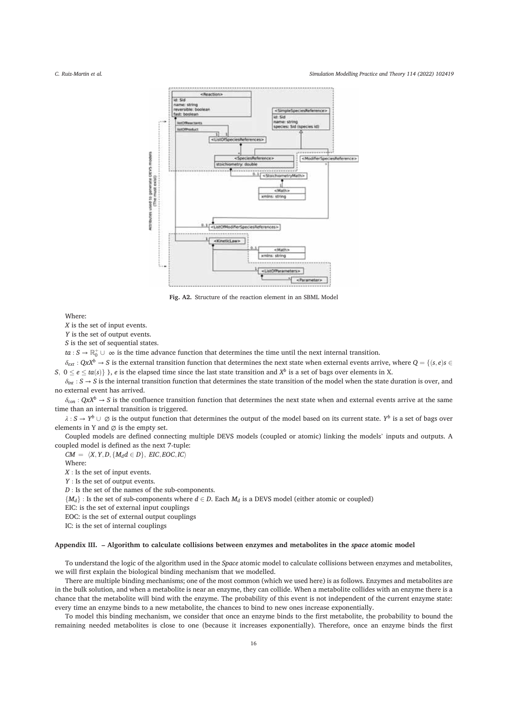Simulation Modelling Practice and Theory 114 (2022) 102419



Fig. A2. Structure of the reaction element in an SBML Model

Where<sup>.</sup>

X is the set of input events.

Y is the set of output events.

S is the set of sequential states.

 $ta: S \to \mathbb{R}_0^+ \cup \infty$  is the time advance function that determines the time until the next internal transition.

 $\delta_{ext}$ :  $QxX^b \rightarrow S$  is the external transition function that determines the next state when external events arrive, where  $Q = \{(s, e) s \in S \mid s \in S \}$ S,  $0 \le e \le ta(s)$ }, e is the elapsed time since the last state transition and  $X^b$  is a set of bags over elements in X.

 $\delta_{int}: S \to S$  is the internal transition function that determines the state transition of the model when the state duration is over, and no external event has arrived.

 $\delta_{con}$ :  $QxX^b \rightarrow S$  is the confluence transition function that determines the next state when and external events arrive at the same time than an internal transition is triggered.

 $\lambda: S \to Y^b \cup \emptyset$  is the output function that determines the output of the model based on its current state. Y<sup>b</sup> is a set of bags over elements in Y and  $\varnothing$  is the empty set.

Coupled models are defined connecting multiple DEVS models (coupled or atomic) linking the models' inputs and outputs. A coupled model is defined as the next 7-tuple:

 $CM = \langle X, Y, D, \{M_d d \in D\}, ELC, EOC, IC\rangle$ 

Where:

 $X$ : Is the set of input events.

 $Y$ : Is the set of output events.

 $D$  : Is the set of the names of the sub-components.

 $\{M_d\}$ : Is the set of sub-components where  $d \in D$ . Each  $M_d$  is a DEVS model (either atomic or coupled)

EIC: is the set of external input couplings

EOC: is the set of external output couplings

IC: is the set of internal couplings

## Appendix III. - Algorithm to calculate collisions between enzymes and metabolites in the space atomic model

To understand the logic of the algorithm used in the Space atomic model to calculate collisions between enzymes and metabolites, we will first explain the biological binding mechanism that we modelled.

There are multiple binding mechanisms; one of the most common (which we used here) is as follows. Enzymes and metabolites are in the bulk solution, and when a metabolite is near an enzyme, they can collide. When a metabolite collides with an enzyme there is a chance that the metabolite will bind with the enzyme. The probability of this event is not independent of the current enzyme state: every time an enzyme binds to a new metabolite, the chances to bind to new ones increase exponentially.

To model this binding mechanism, we consider that once an enzyme binds to the first metabolite, the probability to bound the remaining needed metabolites is close to one (because it increases exponentially). Therefore, once an enzyme binds the first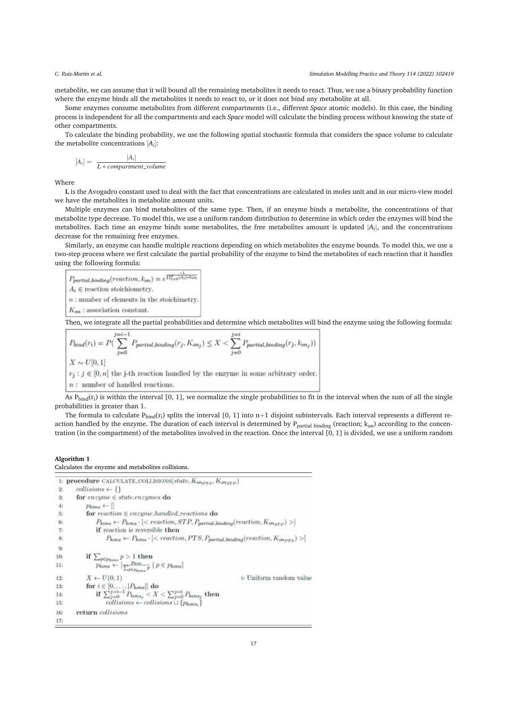metabolite, we can assume that it will bound all the remaining metabolites it needs to react. Thus, we use a binary probability function where the enzyme binds all the metabolites it needs to react to, or it does not bind any metabolite at all.

Some enzymes consume metabolites from different compartments (i.e., different Space atomic models). In this case, the binding process is independent for all the compartments and each Space model will calculate the binding process without knowing the state of other compartments.

To calculate the binding probability, we use the following spatial stochastic formula that considers the space volume to calculate the metabolite concentrations  $[A_i]$ :

$$
[A_i] = \frac{|A_i|}{L * compartment\_volume}
$$

Where

L is the Avogadro constant used to deal with the fact that concentrations are calculated in moles unit and in our micro-view model we have the metabolites in metabolite amount units.

Multiple enzymes can bind metabolites of the same type. Then, if an enzyme binds a metabolite, the concentrations of that metabolite type decrease. To model this, we use a uniform random distribution to determine in which order the enzymes will bind the metabolites. Each time an enzyme binds some metabolites, the free metabolites amount is updated  $|A_i|$ , and the concentrations decrease for the remaining free enzymes.

Similarly, an enzyme can handle multiple reactions depending on which metabolites the enzyme bounds. To model this, we use a two-step process where we first calculate the partial probability of the enzyme to bind the metabolites of each reaction that it handles using the following formula:

 $P_{\textit{partial\_binding}}(reaction, k_{\textit{on}}) = e^{\frac{-1}{\prod_{i=0}^{n} |A_i|+k_0}}$  $A_i \in$  reaction stoichiometry.  $n$ : number of elements in the stoichimetry  $K_{on}$ : association constant.

Then, we integrate all the partial probabilities and determine which metabolites will bind the enzyme using the following formula:

$$
P_{bind}(r_i) = P\left(\sum_{j=0}^{j=i-1} P_{partial\_binding}(r_j, K_{on_j}) \le X < \sum_{j=0}^{j=i} P_{partial\_binding}(r_j, k_{on_j})\right)
$$
  

$$
X \sim U[0, 1]
$$
  

$$
r_j : j \in [0, n]
$$
 the j-th reaction handled by the enzyme in some arbitrary order.  
*n*: number of handled reactions.

As  $P_{\text{bind}}(r_i)$  is within the interval [0, 1], we normalize the single probabilities to fit in the interval when the sum of all the single probabilities is greater than 1.

The formula to calculate  $P_{bind}(r_i)$  splits the interval [0, 1] into  $n+1$  disjoint subintervals. Each interval represents a different reaction handled by the enzyme. The duration of each interval is determined by  $P_{partial}$  inding (reaction;  $k_{on}$ ) according to the concentration (in the compartment) of the metabolites involved in the reaction. Once the interval [0, 1] is divided, we use a uniform random

# Algorithm 1

### Calculates the envzme and metabolites collisions.

|         | 1: procedure CALCULATE_COLLISIONS(state, $K_{\text{energy}}, K_{\text{energy}}$ )                                                                                                |
|---------|----------------------------------------------------------------------------------------------------------------------------------------------------------------------------------|
| 2:      | $collisions \leftarrow \{\}$                                                                                                                                                     |
| 3:      | for $\textit{engine} \in \textit{state}.\textit{enzumes}$ do                                                                                                                     |
| 41      | $p_{kons} \leftarrow$                                                                                                                                                            |
| 5E      | for $reaction \in enzyme, handled\_reactions$ do                                                                                                                                 |
| 6:      | $P_{kons} \leftarrow P_{kons} \cdot [\langle \text{reaction}, STP, P_{partial, binding}(\text{reaction}, K_{\text{on}_{STP}}) \rangle]$                                          |
| 7:      | if reaction is reversible then                                                                                                                                                   |
| $8. \,$ | $P_{kons} \leftarrow P_{kons} \cdot {\rm (} reaction, PTS, PpartialLbinding(reaction, Konprs) > {\rm  }$                                                                         |
| 9:      |                                                                                                                                                                                  |
| $10$ :  |                                                                                                                                                                                  |
| 11:     | if $\sum_{p \in p_{\text{loss}}} p > 1$ then<br>$p_{\text{kons}} \leftarrow \left[ \frac{p_{\text{kons}}}{\sum_{p \in p_{\text{kons}}} p} \mid p \in p_{\text{kons}} \right]$    |
| 12:     | $X \leftarrow U(0,1)$<br>$\triangleright$ Uniform random value                                                                                                                   |
| 13:     |                                                                                                                                                                                  |
| 14:     | $\begin{array}{l} \mbox{for } i \in [0, \ldots,  P_{kons} ] \mbox{ do } \\ \mbox{if } \sum_{j=0}^{j=i-1} P_{kons_j} < X < \sum_{j=0}^{j=i} P_{kons_j} \mbox{ then } \end{array}$ |
| 15:     | $collisions \leftarrow collisions \cup \{p_{kona}\}$                                                                                                                             |
| 16:     | return collisions                                                                                                                                                                |
| 17:     |                                                                                                                                                                                  |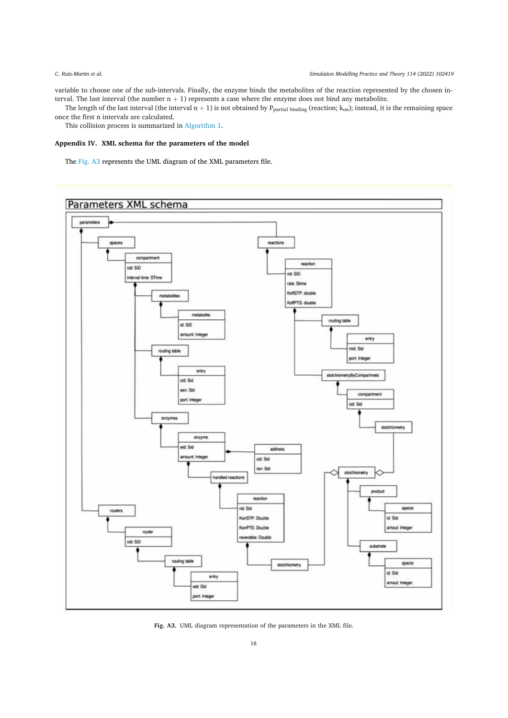variable to choose one of the sub-intervals. Finally, the enzyme binds the metabolites of the reaction represented by the chosen interval. The last interval (the number  $n + 1$ ) represents a case where the enzyme does not bind any metabolite.

The length of the last interval (the interval  $n + 1$ ) is not obtained by  $P_{\text{partial binding}}$  (reaction;  $k_{\text{on}}$ ); instead, it is the remaining space once the first n intervals are calculated.

This collision process is summarized in Algorithm 1.

# Appendix IV. XML schema for the parameters of the model

The Fig. A3 represents the UML diagram of the XML parameters file.



Fig. A3. UML diagram representation of the parameters in the XML file.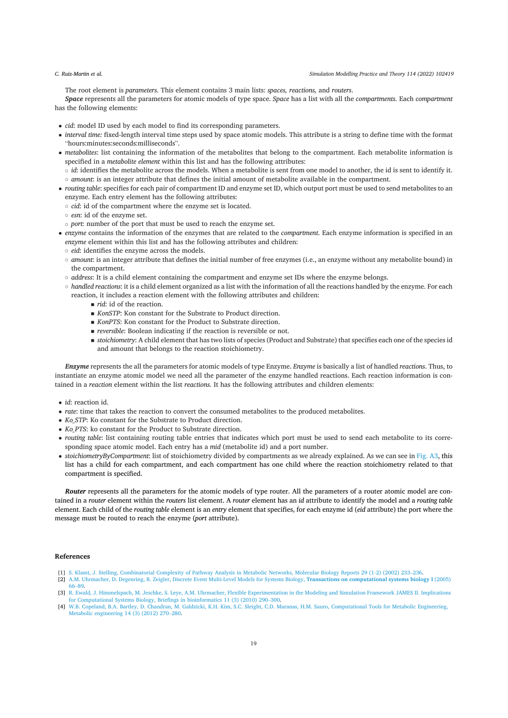The root element is parameters. This element contains 3 main lists: spaces, reactions, and routers.

Space represents all the parameters for atomic models of type space. Space has a list with all the compartments. Each compartment has the following elements:

- *cid*: model ID used by each model to find its corresponding parameters.
- interval time: fixed-length interval time steps used by space atomic models. This attribute is a string to define time with the format "hours:minutes:seconds:milliseconds".
- metabolites: list containing the information of the metabolites that belong to the compartment. Each metabolite information is specified in a metabolite element within this list and has the following attributes:
- $\circ$  *id*: identifies the metabolite across the models. When a metabolite is sent from one model to another, the id is sent to identify it. o amount: is an integer attribute that defines the initial amount of metabolite available in the compartment.
- routing table: specifies for each pair of compartment ID and enzyme set ID, which output port must be used to send metabolites to an enzyme. Each entry element has the following attributes:
- $\circ$  *cid*: id of the compartment where the enzyme set is located.
- o esn: id of the enzyme set.
- o port: number of the port that must be used to reach the enzyme set.
- enzyme contains the information of the enzymes that are related to the *compartment*. Each enzyme information is specified in an enzyme element within this list and has the following attributes and children:
	- o eid: identifies the enzyme across the models.
	- o amount: is an integer attribute that defines the initial number of free enzymes (i.e., an enzyme without any metabolite bound) in the compartment.
- $\circ$  address: It is a child element containing the compartment and enzyme set IDs where the enzyme belongs.
- o handled reactions: it is a child element organized as a list with the information of all the reactions handled by the enzyme. For each reaction, it includes a reaction element with the following attributes and children:
	- $\blacksquare$  rid: id of the reaction.
	- KonsTP: Kon constant for the Substrate to Product direction.
	- KonPTS: Kon constant for the Product to Substrate direction.
	- $\blacksquare$  *reversible*: Boolean indicating if the reaction is reversible or not.
	- stoichiometry: A child element that has two lists of species (Product and Substrate) that specifies each one of the species id and amount that belongs to the reaction stoichiometry.

Enzyme represents the all the parameters for atomic models of type Enzyme. Enzyme is basically a list of handled reactions. Thus, to instantiate an enzyme atomic model we need all the parameter of the enzyme handled reactions. Each reaction information is contained in a reaction element within the list reactions. It has the following attributes and children elements:

- $\bullet$  *id* reaction id
- rate: time that takes the reaction to convert the consumed metabolites to the produced metabolites.
- Ko\_STP: Ko constant for the Substrate to Product direction.
- Ko PTS: ko constant for the Product to Substrate direction.
- routing table: list containing routing table entries that indicates which port must be used to send each metabolite to its corresponding space atomic model. Each entry has a mid (metabolite id) and a port number.
- stoichiometryByCompartment: list of stoichiometry divided by compartments as we already explained. As we can see in Fig. A3, this list has a child for each compartment, and each compartment has one child where the reaction stoichiometry related to that compartment is specified.

Router represents all the parameters for the atomic models of type router. All the parameters of a router atomic model are contained in a router element within the routers list element. A router element has an id attribute to identify the model and a routing table element. Each child of the routing table element is an entry element that specifies, for each enzyme id (eid attribute) the port where the message must be routed to reach the enzyme (port attribute).

# **References**

- [1] S. Klamt, J. Stelling, Combinatorial Complexity of Pathway Analysis in Metabolic Networks, Molecular Biology Reports 29 (1-2) (2002) 233-236. [2] A.M. Uhrmacher, D. Degenring, B. Zeigler, Discrete Event Multi-Level Models for Systems Biology, Transactions on computational systems biology I (2005) 66-89.
- [3] R. Ewald, J. Himmelspach, M. Jeschke, S. Leye, A.M. Uhrmacher, Flexible Experimentation in the Modeling and Simulation Framework JAMES II. Implications
- for Computational Systems Biology, Briefings in bioinformatics 11 (3) (2010) 290-300.<br>
[4] W.B. Copeland, B.A. Bartley, D. Chandran, M. Galdzicki, K.H. Kim, S.C. Sleight, C.D. Maranas, H.M. Sauro, Computational Tools for M Metabolic engineering  $14(3)(2012)270-280$ .